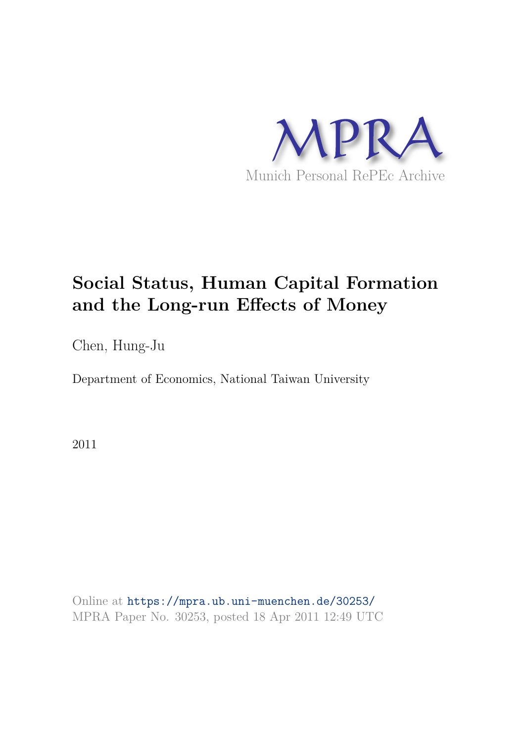

# **Social Status, Human Capital Formation and the Long-run Effects of Money**

Chen, Hung-Ju

Department of Economics, National Taiwan University

2011

Online at https://mpra.ub.uni-muenchen.de/30253/ MPRA Paper No. 30253, posted 18 Apr 2011 12:49 UTC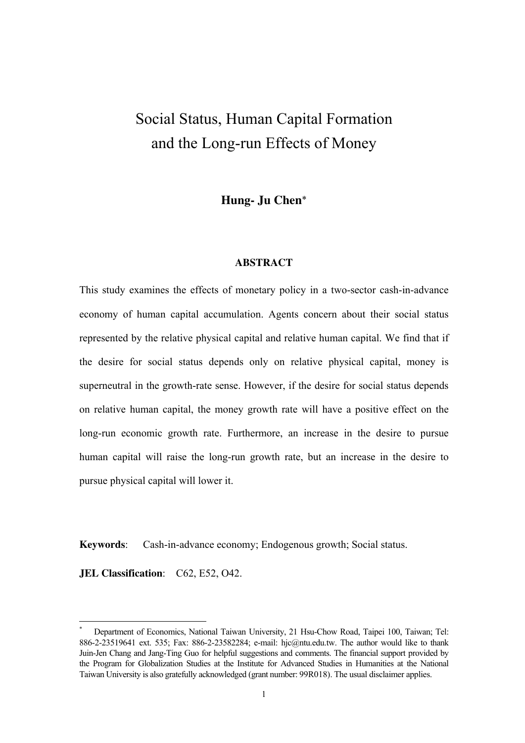## Social Status, Human Capital Formation and the Long-run Effects of Money

**Hung- Ju Chen**\*

#### **ABSTRACT**

This study examines the effects of monetary policy in a two-sector cash-in-advance economy of human capital accumulation. Agents concern about their social status represented by the relative physical capital and relative human capital. We find that if the desire for social status depends only on relative physical capital, money is superneutral in the growth-rate sense. However, if the desire for social status depends on relative human capital, the money growth rate will have a positive effect on the long-run economic growth rate. Furthermore, an increase in the desire to pursue human capital will raise the long-run growth rate, but an increase in the desire to pursue physical capital will lower it.

**Keywords**: Cash-in-advance economy; Endogenous growth; Social status.

**JEL Classification:** C62, E52, O42.

<u>.</u>

<sup>\*</sup> Department of Economics, National Taiwan University, 21 Hsu-Chow Road, Taipei 100, Taiwan; Tel: 886-2-23519641 ext. 535; Fax: 886-2-23582284; e-mail: hjc@ntu.edu.tw. The author would like to thank Juin-Jen Chang and Jang-Ting Guo for helpful suggestions and comments. The financial support provided by the Program for Globalization Studies at the Institute for Advanced Studies in Humanities at the National Taiwan University is also gratefully acknowledged (grant number: 99R018). The usual disclaimer applies.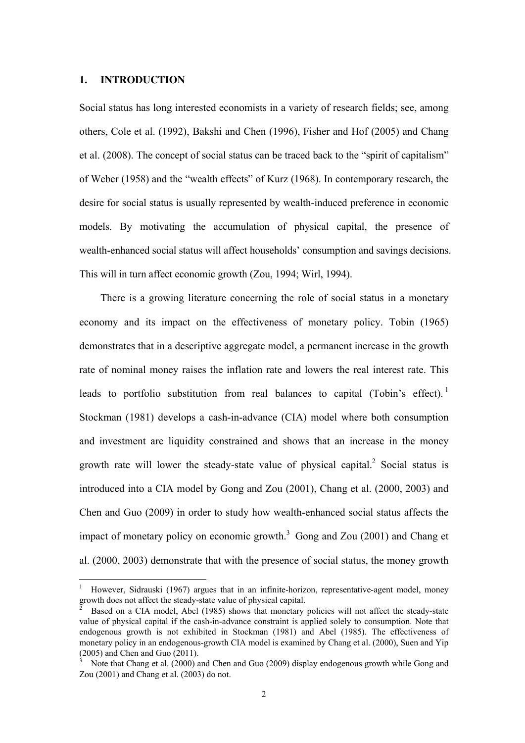#### **1. INTRODUCTION**

<u>.</u>

Social status has long interested economists in a variety of research fields; see, among others, Cole et al. (1992), Bakshi and Chen (1996), Fisher and Hof (2005) and Chang et al. (2008). The concept of social status can be traced back to the "spirit of capitalism" of Weber (1958) and the "wealth effects" of Kurz (1968). In contemporary research, the desire for social status is usually represented by wealth-induced preference in economic models. By motivating the accumulation of physical capital, the presence of wealth-enhanced social status will affect households' consumption and savings decisions. This will in turn affect economic growth (Zou, 1994; Wirl, 1994).

There is a growing literature concerning the role of social status in a monetary economy and its impact on the effectiveness of monetary policy. Tobin (1965) demonstrates that in a descriptive aggregate model, a permanent increase in the growth rate of nominal money raises the inflation rate and lowers the real interest rate. This leads to portfolio substitution from real balances to capital (Tobin's effect).<sup>1</sup> Stockman (1981) develops a cash-in-advance (CIA) model where both consumption and investment are liquidity constrained and shows that an increase in the money growth rate will lower the steady-state value of physical capital.<sup>2</sup> Social status is introduced into a CIA model by Gong and Zou (2001), Chang et al. (2000, 2003) and Chen and Guo (2009) in order to study how wealth-enhanced social status affects the impact of monetary policy on economic growth. $3$  Gong and Zou (2001) and Chang et al. (2000, 2003) demonstrate that with the presence of social status, the money growth

<sup>1</sup> However, Sidrauski (1967) argues that in an infinite-horizon, representative-agent model, money growth does not affect the steady-state value of physical capital.<br>
<sup>2</sup> Based on a CIA model. Abol (1985) shows that monetary

Based on a CIA model, Abel (1985) shows that monetary policies will not affect the steady-state value of physical capital if the cash-in-advance constraint is applied solely to consumption. Note that endogenous growth is not exhibited in Stockman (1981) and Abel (1985). The effectiveness of monetary policy in an endogenous-growth CIA model is examined by Chang et al. (2000), Suen and Yip (2005) and Chen and Guo (2011).

<sup>3</sup> Note that Chang et al. (2000) and Chen and Guo (2009) display endogenous growth while Gong and Zou (2001) and Chang et al. (2003) do not.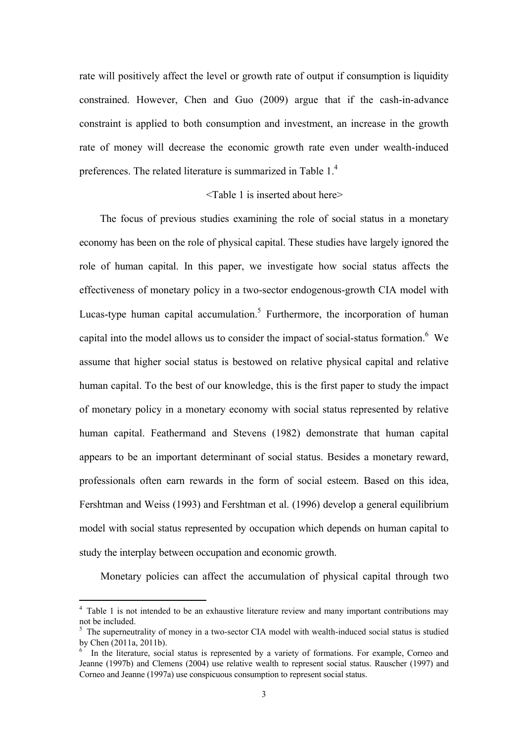rate will positively affect the level or growth rate of output if consumption is liquidity constrained. However, Chen and Guo (2009) argue that if the cash-in-advance constraint is applied to both consumption and investment, an increase in the growth rate of money will decrease the economic growth rate even under wealth-induced preferences. The related literature is summarized in Table 1.<sup>4</sup>

#### <Table 1 is inserted about here>

The focus of previous studies examining the role of social status in a monetary economy has been on the role of physical capital. These studies have largely ignored the role of human capital. In this paper, we investigate how social status affects the effectiveness of monetary policy in a two-sector endogenous-growth CIA model with Lucas-type human capital accumulation.<sup>5</sup> Furthermore, the incorporation of human capital into the model allows us to consider the impact of social-status formation.  $6\,$  We assume that higher social status is bestowed on relative physical capital and relative human capital. To the best of our knowledge, this is the first paper to study the impact of monetary policy in a monetary economy with social status represented by relative human capital. Feathermand and Stevens (1982) demonstrate that human capital appears to be an important determinant of social status. Besides a monetary reward, professionals often earn rewards in the form of social esteem. Based on this idea, Fershtman and Weiss (1993) and Fershtman et al. (1996) develop a general equilibrium model with social status represented by occupation which depends on human capital to study the interplay between occupation and economic growth.

Monetary policies can affect the accumulation of physical capital through two

<u>.</u>

<sup>&</sup>lt;sup>4</sup> Table 1 is not intended to be an exhaustive literature review and many important contributions may not be included.

<sup>&</sup>lt;sup>5</sup> The superneutrality of money in a two-sector CIA model with wealth-induced social status is studied by Chen (2011a, 2011b).

<sup>&</sup>lt;sup>6</sup> In the literature, social status is represented by a variety of formations. For example, Corneo and Jeanne (1997b) and Clemens (2004) use relative wealth to represent social status. Rauscher (1997) and Corneo and Jeanne (1997a) use conspicuous consumption to represent social status.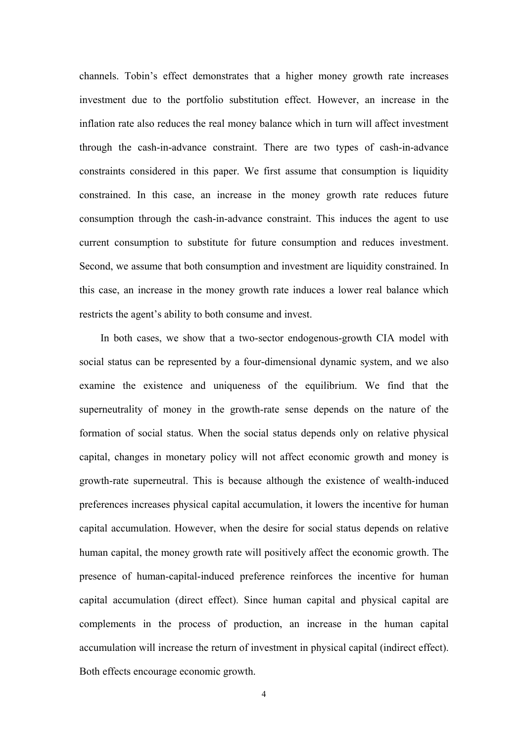channels. Tobin's effect demonstrates that a higher money growth rate increases investment due to the portfolio substitution effect. However, an increase in the inflation rate also reduces the real money balance which in turn will affect investment through the cash-in-advance constraint. There are two types of cash-in-advance constraints considered in this paper. We first assume that consumption is liquidity constrained. In this case, an increase in the money growth rate reduces future consumption through the cash-in-advance constraint. This induces the agent to use current consumption to substitute for future consumption and reduces investment. Second, we assume that both consumption and investment are liquidity constrained. In this case, an increase in the money growth rate induces a lower real balance which restricts the agent's ability to both consume and invest.

In both cases, we show that a two-sector endogenous-growth CIA model with social status can be represented by a four-dimensional dynamic system, and we also examine the existence and uniqueness of the equilibrium. We find that the superneutrality of money in the growth-rate sense depends on the nature of the formation of social status. When the social status depends only on relative physical capital, changes in monetary policy will not affect economic growth and money is growth-rate superneutral. This is because although the existence of wealth-induced preferences increases physical capital accumulation, it lowers the incentive for human capital accumulation. However, when the desire for social status depends on relative human capital, the money growth rate will positively affect the economic growth. The presence of human-capital-induced preference reinforces the incentive for human capital accumulation (direct effect). Since human capital and physical capital are complements in the process of production, an increase in the human capital accumulation will increase the return of investment in physical capital (indirect effect). Both effects encourage economic growth.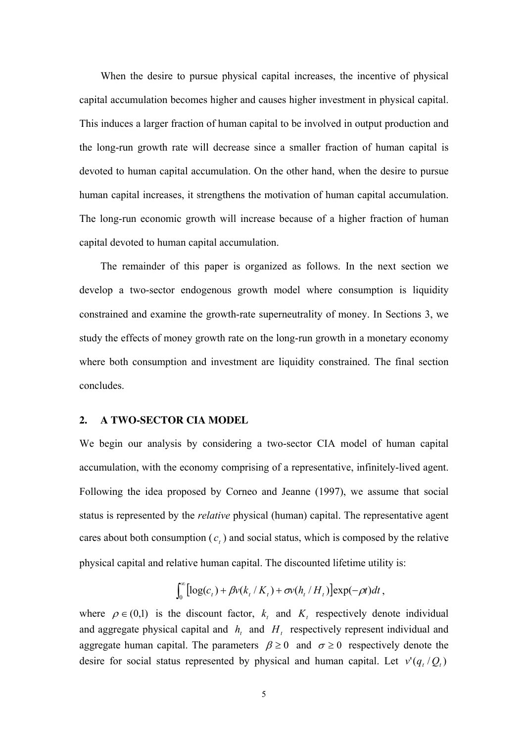When the desire to pursue physical capital increases, the incentive of physical capital accumulation becomes higher and causes higher investment in physical capital. This induces a larger fraction of human capital to be involved in output production and the long-run growth rate will decrease since a smaller fraction of human capital is devoted to human capital accumulation. On the other hand, when the desire to pursue human capital increases, it strengthens the motivation of human capital accumulation. The long-run economic growth will increase because of a higher fraction of human capital devoted to human capital accumulation.

The remainder of this paper is organized as follows. In the next section we develop a two-sector endogenous growth model where consumption is liquidity constrained and examine the growth-rate superneutrality of money. In Sections 3, we study the effects of money growth rate on the long-run growth in a monetary economy where both consumption and investment are liquidity constrained. The final section concludes.

#### **2. A TWO-SECTOR CIA MODEL**

We begin our analysis by considering a two-sector CIA model of human capital accumulation, with the economy comprising of a representative, infinitely-lived agent. Following the idea proposed by Corneo and Jeanne (1997), we assume that social status is represented by the *relative* physical (human) capital. The representative agent cares about both consumption  $(c<sub>t</sub>)$  and social status, which is composed by the relative physical capital and relative human capital. The discounted lifetime utility is:

$$
\int_0^\infty \left[ \log(c_t) + \beta v(k_t/K_t) + \sigma v(h_t/H_t) \right] \exp(-\rho t) dt,
$$

where  $\rho \in (0,1)$  is the discount factor,  $k_t$  and  $K_t$  respectively denote individual and aggregate physical capital and  $h_t$  and  $H_t$  respectively represent individual and aggregate human capital. The parameters  $\beta \ge 0$  and  $\sigma \ge 0$  respectively denote the desire for social status represented by physical and human capital. Let  $v'(q_t/Q_t)$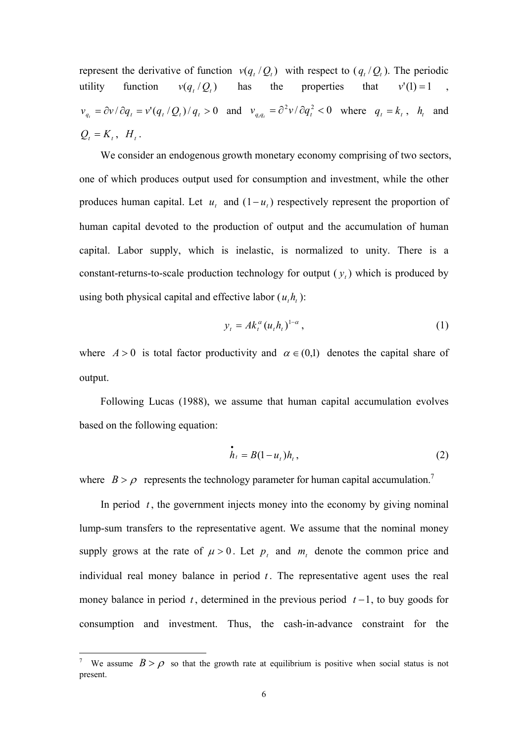represent the derivative of function  $v(q_t/Q_t)$  with respect to  $(q_t/Q_t)$ . The periodic utility function  $v(q, /Q_t)$ has the properties that  $v'(1) = 1$  $v_{q_t} = \partial v / \partial q_t = v'(q_t/Q_t)/q_t > 0$  and  $v_{q_t q_t} = \partial^2 v / \partial q_t^2 < 0$  where  $q_t = k_t$ ,  $h_t$  and  $Q_t = K_t$ ,  $H_t$ .

We consider an endogenous growth monetary economy comprising of two sectors, one of which produces output used for consumption and investment, while the other produces human capital. Let  $u_t$  and  $(1 - u_t)$  respectively represent the proportion of human capital devoted to the production of output and the accumulation of human capital. Labor supply, which is inelastic, is normalized to unity. There is a constant-returns-to-scale production technology for output  $(y_t)$  which is produced by using both physical capital and effective labor  $(u_t h_t)$ :

$$
y_t = Ak_t^{\alpha} (u_t h_t)^{1-\alpha}, \qquad (1)
$$

where  $A > 0$  is total factor productivity and  $\alpha \in (0,1)$  denotes the capital share of output.

Following Lucas (1988), we assume that human capital accumulation evolves based on the following equation:

$$
\dot{h}_t = B(1 - u_t)h_t, \qquad (2)
$$

where  $B > \rho$  represents the technology parameter for human capital accumulation.<sup>7</sup>

In period  $t$ , the government injects money into the economy by giving nominal lump-sum transfers to the representative agent. We assume that the nominal money supply grows at the rate of  $\mu > 0$ . Let  $p_t$  and  $m_t$  denote the common price and individual real money balance in period  $t$ . The representative agent uses the real money balance in period  $t$ , determined in the previous period  $t-1$ , to buy goods for consumption and investment. Thus, the cash-in-advance constraint for the

<u>.</u>

<sup>7</sup> We assume  $B > \rho$  so that the growth rate at equilibrium is positive when social status is not present.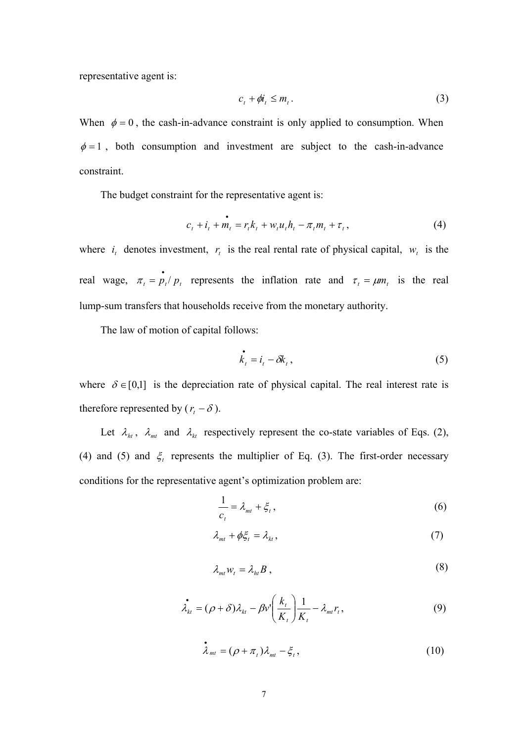representative agent is:

$$
c_t + \phi i_t \le m_t. \tag{3}
$$

When  $\phi = 0$ , the cash-in-advance constraint is only applied to consumption. When  $\phi = 1$ , both consumption and investment are subject to the cash-in-advance constraint.

The budget constraint for the representative agent is:

$$
c_{t} + i_{t} + m_{t} = r_{t}k_{t} + w_{t}u_{t}h_{t} - \pi_{t}m_{t} + \tau_{t},
$$
\n(4)

where  $i_t$  denotes investment,  $r_t$  is the real rental rate of physical capital,  $w_t$  is the real wage,  $\pi_t = \frac{1}{p_t} p_t$  represents the inflation rate and  $\tau_t = \mu m_t$  is the real lump-sum transfers that households receive from the monetary authority.

The law of motion of capital follows:

$$
\dot{\vec{k}}_t = \vec{i}_t - \delta \vec{k}_t, \qquad (5)
$$

where  $\delta \in [0,1]$  is the depreciation rate of physical capital. The real interest rate is therefore represented by  $(r<sub>t</sub> - \delta)$ .

Let  $\lambda_{ht}$ ,  $\lambda_{mt}$  and  $\lambda_{kt}$  respectively represent the co-state variables of Eqs. (2), (4) and (5) and  $\xi$  represents the multiplier of Eq. (3). The first-order necessary conditions for the representative agent's optimization problem are:

$$
\frac{1}{c_t} = \lambda_{mt} + \xi_t, \tag{6}
$$

$$
\lambda_{mt} + \phi \xi_t = \lambda_{kt},\tag{7}
$$

$$
\lambda_{m} w_t = \lambda_{h} B , \qquad (8)
$$

$$
\dot{\lambda}_{kt} = (\rho + \delta)\lambda_{kt} - \beta v' \bigg(\frac{k_t}{K_t}\bigg) \frac{1}{K_t} - \lambda_{mt} r_t,
$$
\n(9)

$$
\dot{\lambda}_{mt} = (\rho + \pi_t)\lambda_{mt} - \xi_t, \qquad (10)
$$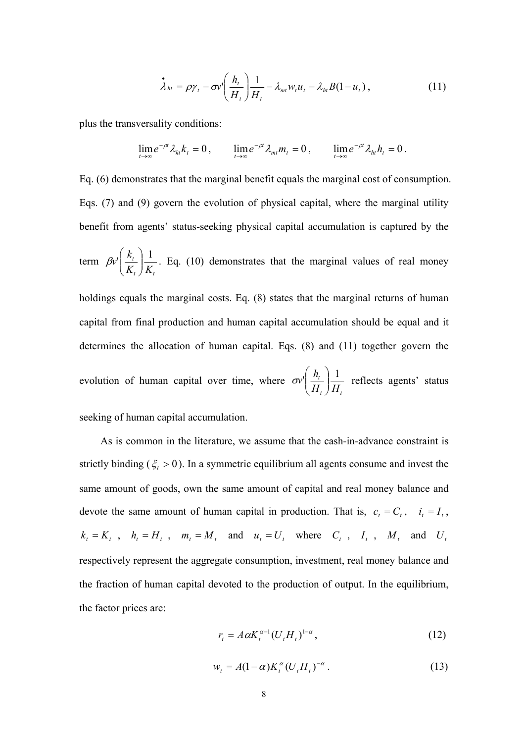$$
\dot{\lambda}_{ht} = \rho \gamma_t - \sigma v' \bigg( \frac{h_t}{H_t} \bigg) \frac{1}{H_t} - \lambda_{mt} w_t u_t - \lambda_{ht} B (1 - u_t) \,, \tag{11}
$$

plus the transversality conditions:

$$
\lim_{t\to\infty}e^{-\rho t}\lambda_{kt}k_t=0\,,\qquad \lim_{t\to\infty}e^{-\rho t}\lambda_{mt}m_t=0\,,\qquad \lim_{t\to\infty}e^{-\rho t}\lambda_{ht}h_t=0\,.
$$

Eq. (6) demonstrates that the marginal benefit equals the marginal cost of consumption. Eqs. (7) and (9) govern the evolution of physical capital, where the marginal utility benefit from agents' status-seeking physical capital accumulation is captured by the term  $t \left/ \right.$ <sup> $\mathbf{I}$ </sup> $t$ *t K K*  $w\left(\frac{k_t}{K}\right)\frac{1}{K}$ J  $\setminus$  $\overline{\phantom{a}}$  $\setminus$ ſ  $\mathcal{P}[\mathcal{P}]\left| \frac{\partial u}{\partial x} \right|$ . Eq. (10) demonstrates that the marginal values of real money holdings equals the marginal costs. Eq.  $(8)$  states that the marginal returns of human capital from final production and human capital accumulation should be equal and it determines the allocation of human capital. Eqs. (8) and (11) together govern the evolution of human capital over time, where  $t \left/ \right.$ <sup>*t*</sup> $t \left/ \right.$ *t H H*  $w\left(\frac{h_i}{H}\right)\frac{1}{H}$ J  $\setminus$  $\overline{\phantom{a}}$  $\setminus$ ſ  $\sigma v'$   $\frac{n_t}{r}$   $\frac{1}{r}$  reflects agents' status seeking of human capital accumulation.

As is common in the literature, we assume that the cash-in-advance constraint is strictly binding ( $\xi_t > 0$ ). In a symmetric equilibrium all agents consume and invest the same amount of goods, own the same amount of capital and real money balance and devote the same amount of human capital in production. That is,  $c_t = C_t$ ,  $i_t = I_t$ ,  $k_t = K_t$ ,  $h_t = H_t$ ,  $m_t = M_t$  and  $u_t = U_t$  where  $C_t$ ,  $I_t$ ,  $M_t$  and  $U_t$ respectively represent the aggregate consumption, investment, real money balance and the fraction of human capital devoted to the production of output. In the equilibrium, the factor prices are:

$$
r_t = A \alpha K_t^{\alpha - 1} (U_t H_t)^{1 - \alpha}, \qquad (12)
$$

$$
w_t = A(1 - \alpha)K_t^{\alpha}(U_t H_t)^{-\alpha}.
$$
 (13)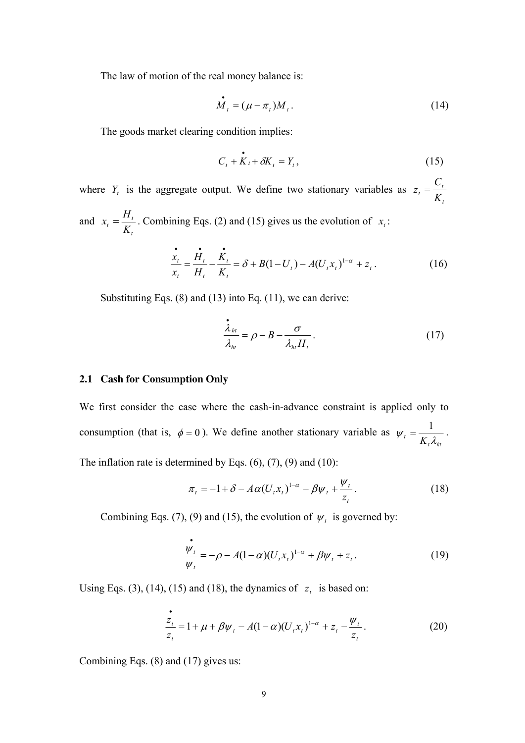The law of motion of the real money balance is:

$$
\dot{M}_t = (\mu - \pi_t) M_t. \tag{14}
$$

The goods market clearing condition implies:

$$
C_t + \mathbf{K}_t + \delta \mathbf{K}_t = Y_t, \qquad (15)
$$

where  $Y_t$  is the aggregate output. We define two stationary variables as *t*  $t = \frac{C_i}{K_i}$  $z_t = \frac{C}{U}$ and *t*  $t_t = \frac{H_t}{K_t}$  $x_t = \frac{H_t}{K}$ . Combining Eqs. (2) and (15) gives us the evolution of  $x_t$ .

$$
\frac{\dot{x}_t}{x_t} = \frac{\dot{H}_t}{H_t} - \frac{\dot{K}_t}{K_t} = \delta + B(1 - U_t) - A(U_t x_t)^{1 - \alpha} + z_t.
$$
\n(16)

Substituting Eqs. (8) and (13) into Eq. (11), we can derive:

$$
\frac{\dot{\lambda}_{ht}}{\lambda_{ht}} = \rho - B - \frac{\sigma}{\lambda_{ht} H_t}.
$$
\n(17)

#### **2.1 Cash for Consumption Only**

We first consider the case where the cash-in-advance constraint is applied only to consumption (that is,  $\phi = 0$ ). We define another stationary variable as *ktt*  $W_t = \frac{1}{K_t \lambda_{kt}}$ . The inflation rate is determined by Eqs.  $(6)$ ,  $(7)$ ,  $(9)$  and  $(10)$ :

$$
\pi_t = -1 + \delta - A\alpha (U_t x_t)^{1-\alpha} - \beta \psi_t + \frac{\psi_t}{z_t}.
$$
\n(18)

Combining Eqs. (7), (9) and (15), the evolution of  $\psi_t$  is governed by:

$$
\frac{\dot{\psi}_t}{\psi_t} = -\rho - A(1-\alpha)(U_t x_t)^{1-\alpha} + \beta \psi_t + z_t.
$$
 (19)

Using Eqs. (3), (14), (15) and (18), the dynamics of  $z_t$  is based on:

$$
\frac{z_t}{z_t} = 1 + \mu + \beta \psi_t - A(1 - \alpha)(U_t x_t)^{1 - \alpha} + z_t - \frac{\psi_t}{z_t}.
$$
 (20)

Combining Eqs. (8) and (17) gives us: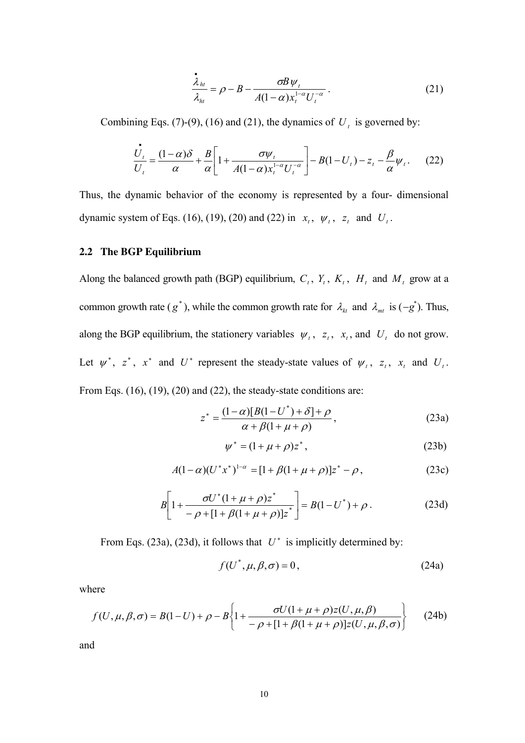$$
\frac{\dot{\lambda}_{ht}}{\lambda_{ht}} = \rho - B - \frac{\sigma B \psi_t}{A(1 - \alpha) x_t^{1 - \alpha} U_t^{-\alpha}}.
$$
\n(21)

Combining Eqs. (7)-(9), (16) and (21), the dynamics of  $U_t$  is governed by:

$$
\frac{\dot{U}_t}{U_t} = \frac{(1-\alpha)\delta}{\alpha} + \frac{B}{\alpha} \left[ 1 + \frac{\sigma \psi_t}{A(1-\alpha)x_t^{1-\alpha}U_t^{-\alpha}} \right] - B(1-U_t) - z_t - \frac{\beta}{\alpha} \psi_t.
$$
 (22)

Thus, the dynamic behavior of the economy is represented by a four- dimensional dynamic system of Eqs. (16), (19), (20) and (22) in  $x_t$ ,  $\psi_t$ ,  $z_t$  and  $U_t$ .

#### **2.2 The BGP Equilibrium**

Along the balanced growth path (BGP) equilibrium,  $C_t$ ,  $Y_t$ ,  $K_t$ ,  $H_t$  and  $M_t$  grow at a common growth rate ( $g^*$ ), while the common growth rate for  $\lambda_{kt}$  and  $\lambda_{mt}$  is ( $-g^*$ ). Thus, along the BGP equilibrium, the stationery variables  $\psi_t$ ,  $z_t$ ,  $x_t$ , and  $U_t$  do not grow. Let  $\psi^*$ ,  $z^*$ ,  $x^*$  and  $U^*$  represent the steady-state values of  $\psi_t$ ,  $z_t$ ,  $x_t$  and  $U_t$ . From Eqs.  $(16)$ ,  $(19)$ ,  $(20)$  and  $(22)$ , the steady-state conditions are:

$$
z^* = \frac{(1-\alpha)[B(1-U^*) + \delta] + \rho}{\alpha + \beta(1 + \mu + \rho)},
$$
\n(23a)

$$
\psi^* = (1 + \mu + \rho) z^*, \tag{23b}
$$

$$
A(1-\alpha)(U^*x^*)^{1-\alpha} = [1+\beta(1+\mu+\rho)]z^* - \rho, \qquad (23c)
$$

$$
B\left[1+\frac{\sigma U^*(1+\mu+\rho)z^*}{-\rho+[1+\beta(1+\mu+\rho)]z^*}\right] = B(1-U^*)+\rho.
$$
 (23d)

From Eqs. (23a), (23d), it follows that  $U^*$  is implicitly determined by:

$$
f(U^*, \mu, \beta, \sigma) = 0, \qquad (24a)
$$

where

$$
f(U, \mu, \beta, \sigma) = B(1 - U) + \rho - B \left\{ 1 + \frac{\sigma U(1 + \mu + \rho)z(U, \mu, \beta)}{-\rho + [1 + \beta(1 + \mu + \rho)]z(U, \mu, \beta, \sigma)} \right\}
$$
(24b)

and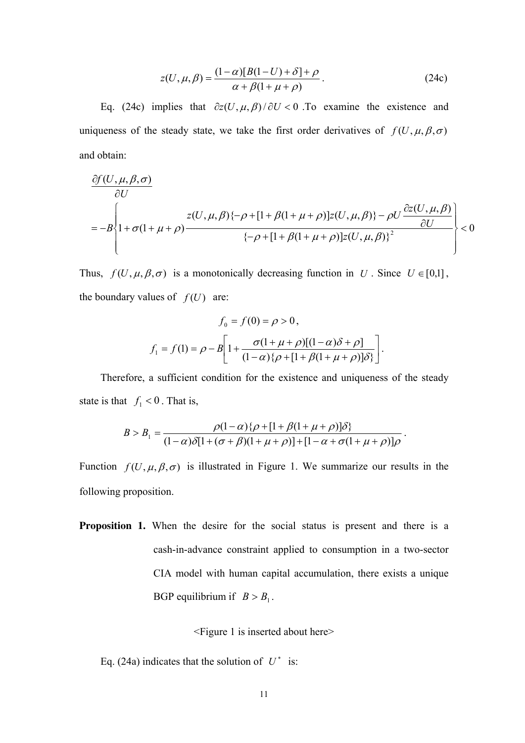$$
z(U, \mu, \beta) = \frac{(1-\alpha)[B(1-U) + \delta] + \rho}{\alpha + \beta(1 + \mu + \rho)}.
$$
 (24c)

Eq. (24c) implies that  $\partial z(U, \mu, \beta)/\partial U < 0$ . To examine the existence and uniqueness of the steady state, we take the first order derivatives of  $f(U, \mu, \beta, \sigma)$ and obtain:

$$
\frac{\partial f(U,\mu,\beta,\sigma)}{\partial U}
$$
\n
$$
= -B \left\{ 1 + \sigma(1 + \mu + \rho) \frac{z(U,\mu,\beta)\{-\rho + [1 + \beta(1 + \mu + \rho)]z(U,\mu,\beta)\} - \rho U \frac{\partial z(U,\mu,\beta)}{\partial U}}{\{-\rho + [1 + \beta(1 + \mu + \rho)]z(U,\mu,\beta)\}^2} \right\} < 0
$$

Thus,  $f(U, \mu, \beta, \sigma)$  is a monotonically decreasing function in *U*. Since  $U \in [0,1]$ , the boundary values of  $f(U)$  are:

$$
f_0 = f(0) = \rho > 0,
$$
  

$$
f_1 = f(1) = \rho - B \left[ 1 + \frac{\sigma (1 + \mu + \rho) [(1 - \alpha)\delta + \rho]}{(1 - \alpha)\{\rho + [1 + \beta(1 + \mu + \rho)]\delta\}} \right].
$$

Therefore, a sufficient condition for the existence and uniqueness of the steady state is that  $f_1 < 0$ . That is,

$$
B > B_1 = \frac{\rho(1-\alpha)\{\rho + [1+\beta(1+\mu+\rho)]\delta\}}{(1-\alpha)\delta[1+(\sigma+\beta)(1+\mu+\rho)] + [1-\alpha+\sigma(1+\mu+\rho)]\rho}.
$$

Function  $f(U, \mu, \beta, \sigma)$  is illustrated in Figure 1. We summarize our results in the following proposition.

**Proposition 1.** When the desire for the social status is present and there is a cash-in-advance constraint applied to consumption in a two-sector CIA model with human capital accumulation, there exists a unique BGP equilibrium if  $B > B_1$ .

<Figure 1 is inserted about here>

Eq. (24a) indicates that the solution of  $U^*$  is: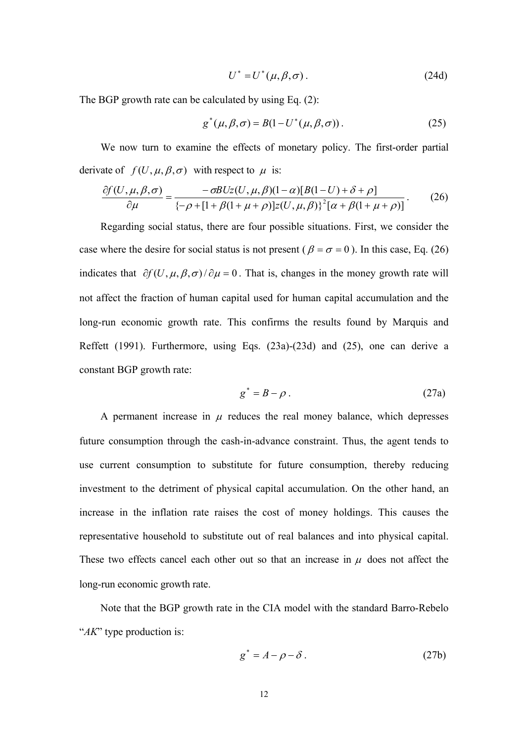$$
U^* = U^*(\mu, \beta, \sigma). \tag{24d}
$$

The BGP growth rate can be calculated by using Eq. (2):

$$
g^*(\mu, \beta, \sigma) = B(1 - U^*(\mu, \beta, \sigma)).
$$
\n(25)

We now turn to examine the effects of monetary policy. The first-order partial derivate of  $f(U, \mu, \beta, \sigma)$  with respect to  $\mu$  is:

$$
\frac{\partial f(U,\mu,\beta,\sigma)}{\partial \mu} = \frac{-\sigma B Uz(U,\mu,\beta)(1-\alpha)[B(1-U) + \delta + \rho]}{\{-\rho + [1 + \beta(1+\mu+\rho)]z(U,\mu,\beta)\}^2[\alpha + \beta(1+\mu+\rho)]}.
$$
(26)

Regarding social status, there are four possible situations. First, we consider the case where the desire for social status is not present ( $\beta = \sigma = 0$ ). In this case, Eq. (26) indicates that  $\partial f(U, \mu, \beta, \sigma) / \partial \mu = 0$ . That is, changes in the money growth rate will not affect the fraction of human capital used for human capital accumulation and the long-run economic growth rate. This confirms the results found by Marquis and Reffett (1991). Furthermore, using Eqs. (23a)-(23d) and (25), one can derive a constant BGP growth rate:

$$
g^* = B - \rho \tag{27a}
$$

A permanent increase in  $\mu$  reduces the real money balance, which depresses future consumption through the cash-in-advance constraint. Thus, the agent tends to use current consumption to substitute for future consumption, thereby reducing investment to the detriment of physical capital accumulation. On the other hand, an increase in the inflation rate raises the cost of money holdings. This causes the representative household to substitute out of real balances and into physical capital. These two effects cancel each other out so that an increase in  $\mu$  does not affect the long-run economic growth rate.

Note that the BGP growth rate in the CIA model with the standard Barro-Rebelo "*AK*" type production is:

$$
g^* = A - \rho - \delta \tag{27b}
$$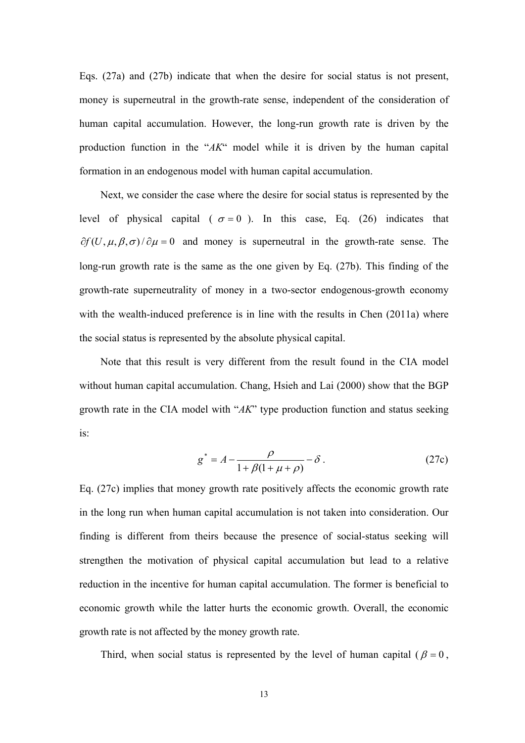Eqs. (27a) and (27b) indicate that when the desire for social status is not present, money is superneutral in the growth-rate sense, independent of the consideration of human capital accumulation. However, the long-run growth rate is driven by the production function in the "*AK*" model while it is driven by the human capital formation in an endogenous model with human capital accumulation.

Next, we consider the case where the desire for social status is represented by the level of physical capital ( $\sigma = 0$ ). In this case, Eq. (26) indicates that  $\partial f(U, \mu, \beta, \sigma)/\partial \mu = 0$  and money is superneutral in the growth-rate sense. The long-run growth rate is the same as the one given by Eq. (27b). This finding of the growth-rate superneutrality of money in a two-sector endogenous-growth economy with the wealth-induced preference is in line with the results in Chen (2011a) where the social status is represented by the absolute physical capital.

Note that this result is very different from the result found in the CIA model without human capital accumulation. Chang, Hsieh and Lai (2000) show that the BGP growth rate in the CIA model with "*AK*" type production function and status seeking is:

$$
g^* = A - \frac{\rho}{1 + \beta(1 + \mu + \rho)} - \delta \tag{27c}
$$

Eq. (27c) implies that money growth rate positively affects the economic growth rate in the long run when human capital accumulation is not taken into consideration. Our finding is different from theirs because the presence of social-status seeking will strengthen the motivation of physical capital accumulation but lead to a relative reduction in the incentive for human capital accumulation. The former is beneficial to economic growth while the latter hurts the economic growth. Overall, the economic growth rate is not affected by the money growth rate.

Third, when social status is represented by the level of human capital ( $\beta = 0$ ,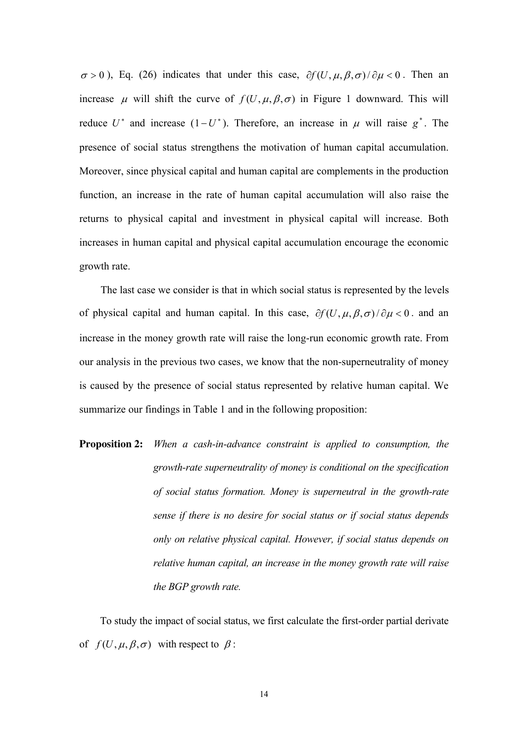$\sigma > 0$ ), Eq. (26) indicates that under this case,  $\partial f(U, \mu, \beta, \sigma)/\partial \mu < 0$ . Then an increase  $\mu$  will shift the curve of  $f(U, \mu, \beta, \sigma)$  in Figure 1 downward. This will reduce  $U^*$  and increase  $(1-U^*)$ . Therefore, an increase in  $\mu$  will raise  $g^*$ . The presence of social status strengthens the motivation of human capital accumulation. Moreover, since physical capital and human capital are complements in the production function, an increase in the rate of human capital accumulation will also raise the returns to physical capital and investment in physical capital will increase. Both increases in human capital and physical capital accumulation encourage the economic growth rate.

The last case we consider is that in which social status is represented by the levels of physical capital and human capital. In this case,  $\partial f(U, \mu, \beta, \sigma)/\partial \mu < 0$ . and an increase in the money growth rate will raise the long-run economic growth rate. From our analysis in the previous two cases, we know that the non-superneutrality of money is caused by the presence of social status represented by relative human capital. We summarize our findings in Table 1 and in the following proposition:

**Proposition 2:** *When a cash-in-advance constraint is applied to consumption, the growth-rate superneutrality of money is conditional on the specification of social status formation. Money is superneutral in the growth-rate sense if there is no desire for social status or if social status depends only on relative physical capital. However, if social status depends on relative human capital, an increase in the money growth rate will raise the BGP growth rate.* 

To study the impact of social status, we first calculate the first-order partial derivate of  $f(U, \mu, \beta, \sigma)$  with respect to  $\beta$ :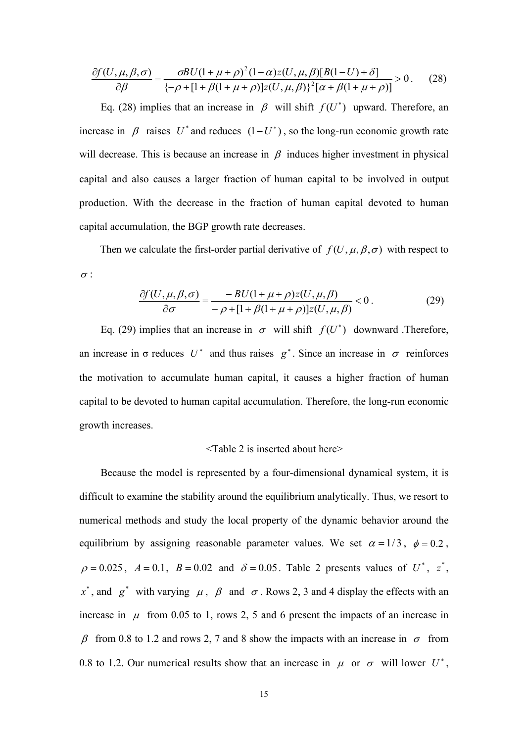$$
\frac{\partial f(U,\mu,\beta,\sigma)}{\partial \beta} = \frac{\sigma B U (1 + \mu + \rho)^2 (1 - \alpha) z(U,\mu,\beta) [B(1-U) + \delta]}{\{-\rho + [1 + \beta (1 + \mu + \rho)] z(U,\mu,\beta)\}^2 [\alpha + \beta (1 + \mu + \rho)]} > 0. \tag{28}
$$

Eq. (28) implies that an increase in  $\beta$  will shift  $f(U^*)$  upward. Therefore, an increase in  $\beta$  raises  $U^*$  and reduces  $(1-U^*)$ , so the long-run economic growth rate will decrease. This is because an increase in  $\beta$  induces higher investment in physical capital and also causes a larger fraction of human capital to be involved in output production. With the decrease in the fraction of human capital devoted to human capital accumulation, the BGP growth rate decreases.

Then we calculate the first-order partial derivative of  $f(U, \mu, \beta, \sigma)$  with respect to  $\sigma$  :

$$
\frac{\partial f(U,\mu,\beta,\sigma)}{\partial \sigma} = \frac{-BU(1+\mu+\rho)z(U,\mu,\beta)}{-\rho+[1+\beta(1+\mu+\rho)]z(U,\mu,\beta)} < 0.
$$
 (29)

Eq. (29) implies that an increase in  $\sigma$  will shift  $f(U^*)$  downward .Therefore, an increase in  $\sigma$  reduces  $U^*$  and thus raises  $g^*$ . Since an increase in  $\sigma$  reinforces the motivation to accumulate human capital, it causes a higher fraction of human capital to be devoted to human capital accumulation. Therefore, the long-run economic growth increases.

#### <Table 2 is inserted about here>

Because the model is represented by a four-dimensional dynamical system, it is difficult to examine the stability around the equilibrium analytically. Thus, we resort to numerical methods and study the local property of the dynamic behavior around the equilibrium by assigning reasonable parameter values. We set  $\alpha = 1/3$ ,  $\phi = 0.2$ ,  $\rho = 0.025$ ,  $A = 0.1$ ,  $B = 0.02$  and  $\delta = 0.05$ . Table 2 presents values of U<sup>\*</sup>, z<sup>\*</sup>,  $x^*$ , and  $g^*$  with varying  $\mu$ ,  $\beta$  and  $\sigma$ . Rows 2, 3 and 4 display the effects with an increase in  $\mu$  from 0.05 to 1, rows 2, 5 and 6 present the impacts of an increase in  $\beta$  from 0.8 to 1.2 and rows 2, 7 and 8 show the impacts with an increase in  $\sigma$  from 0.8 to 1.2. Our numerical results show that an increase in  $\mu$  or  $\sigma$  will lower  $U^*$ ,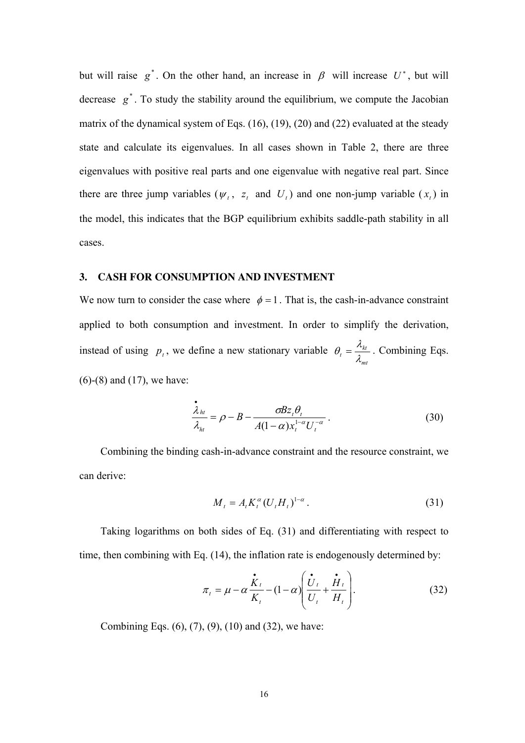but will raise  $g^*$ . On the other hand, an increase in  $\beta$  will increase  $U^*$ , but will decrease  $g^*$ . To study the stability around the equilibrium, we compute the Jacobian matrix of the dynamical system of Eqs. (16), (19), (20) and (22) evaluated at the steady state and calculate its eigenvalues. In all cases shown in Table 2, there are three eigenvalues with positive real parts and one eigenvalue with negative real part. Since there are three jump variables ( $\psi_t$ ,  $z_t$  and  $U_t$ ) and one non-jump variable ( $x_t$ ) in the model, this indicates that the BGP equilibrium exhibits saddle-path stability in all cases.

#### **3. CASH FOR CONSUMPTION AND INVESTMENT**

We now turn to consider the case where  $\phi = 1$ . That is, the cash-in-advance constraint applied to both consumption and investment. In order to simplify the derivation, instead of using  $p_t$ , we define a new stationary variable *mt*  $\theta_t = \frac{\lambda t_{ki}}{\lambda}$  $\theta_{t} = \frac{\lambda_{kt}}{1}$ . Combining Eqs. (6)-(8) and (17), we have:

$$
\frac{\dot{\lambda}_{ht}}{\lambda_{ht}} = \rho - B - \frac{\sigma B z_t \theta_t}{A(1 - \alpha) x_t^{1 - \alpha} U_t^{-\alpha}}.
$$
\n(30)

Combining the binding cash-in-advance constraint and the resource constraint, we can derive:

$$
M_{t} = A_{t} K_{t}^{\alpha} (U_{t} H_{t})^{1-\alpha} . \tag{31}
$$

Taking logarithms on both sides of Eq. (31) and differentiating with respect to time, then combining with Eq. (14), the inflation rate is endogenously determined by:

$$
\pi_t = \mu - \alpha \frac{\dot{\mathbf{K}}_t}{K_t} - (1 - \alpha) \left( \frac{\dot{\mathbf{U}}_t}{U_t} + \frac{\dot{\mathbf{H}}_t}{H_t} \right). \tag{32}
$$

Combining Eqs. (6), (7), (9), (10) and (32), we have: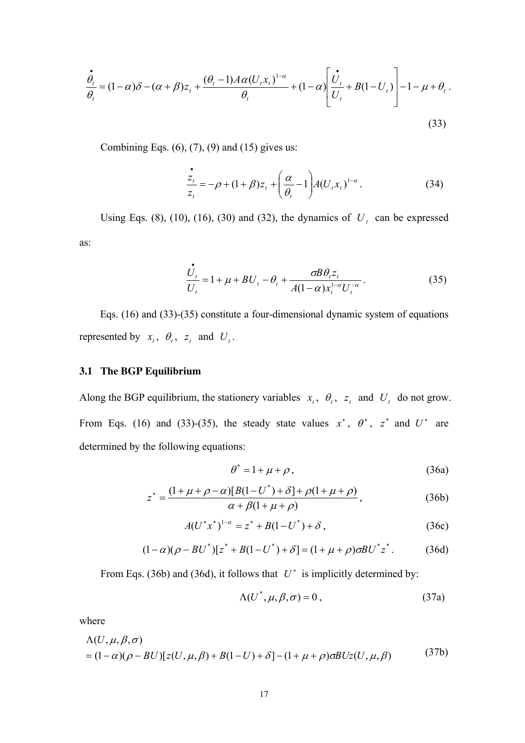$$
\frac{\dot{\theta}_{t}}{\theta_{t}} = (1 - \alpha)\delta - (\alpha + \beta)z_{t} + \frac{(\theta_{t} - 1)A\alpha(U_{t}x_{t})^{1-\alpha}}{\theta_{t}} + (1 - \alpha)\left[\frac{\dot{U}_{t}}{U_{t}} + B(1 - U_{t})\right] - 1 - \mu + \theta_{t}.
$$
\n(33)

Combining Eqs.  $(6)$ ,  $(7)$ ,  $(9)$  and  $(15)$  gives us:

$$
\frac{z_t}{z_t} = -\rho + (1+\beta)z_t + \left(\frac{\alpha}{\theta_t} - 1\right)A(U_t x_t)^{1-\alpha}.
$$
\n(34)

Using Eqs. (8), (10), (16), (30) and (32), the dynamics of  $U_t$  can be expressed as:

$$
\frac{\dot{U}_t}{U_t} = 1 + \mu + BU_t - \theta_t + \frac{\sigma B \theta_t z_t}{A(1 - \alpha) x_t^{1 - \alpha} U_t^{-\alpha}}.
$$
\n(35)

Eqs. (16) and (33)-(35) constitute a four-dimensional dynamic system of equations represented by  $x_t$ ,  $\theta_t$ ,  $z_t$  and  $U_t$ .

#### **3.1 The BGP Equilibrium**

Along the BGP equilibrium, the stationery variables  $x_t$ ,  $\theta_t$ ,  $z_t$  and  $U_t$  do not grow. From Eqs. (16) and (33)-(35), the steady state values  $x^*$ ,  $\theta^*$ ,  $z^*$  and  $U^*$  are determined by the following equations:

$$
\theta^* = 1 + \mu + \rho, \tag{36a}
$$

$$
z^* = \frac{(1 + \mu + \rho - \alpha)[B(1 - U^*) + \delta] + \rho(1 + \mu + \rho)}{\alpha + \beta(1 + \mu + \rho)},
$$
\n(36b)

$$
A(U^*x^*)^{1-\alpha} = z^* + B(1-U^*) + \delta, \qquad (36c)
$$

$$
(1 - \alpha)(\rho - BU^*)[z^* + B(1 - U^*) + \delta] = (1 + \mu + \rho)\sigma B U^* z^*.
$$
 (36d)

From Eqs. (36b) and (36d), it follows that  $U^*$  is implicitly determined by:

$$
\Lambda(U^*, \mu, \beta, \sigma) = 0, \qquad (37a)
$$

where

$$
\Lambda(U,\mu,\beta,\sigma)
$$
  
=  $(1-\alpha)(\rho - BU)[z(U,\mu,\beta) + B(1-U) + \delta] - (1+\mu+\rho)\sigma B Uz(U,\mu,\beta)$  (37b)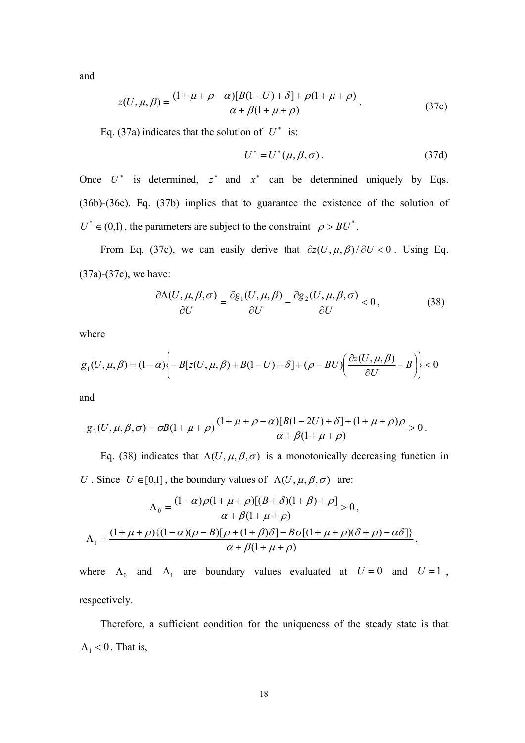and

$$
z(U, \mu, \beta) = \frac{(1 + \mu + \rho - \alpha)[B(1 - U) + \delta] + \rho(1 + \mu + \rho)}{\alpha + \beta(1 + \mu + \rho)}.
$$
 (37c)

Eq. (37a) indicates that the solution of  $U^*$  is:

$$
U^* = U^*(\mu, \beta, \sigma). \tag{37d}
$$

Once  $U^*$  is determined,  $z^*$  and  $x^*$  can be determined uniquely by Eqs. (36b)-(36c). Eq. (37b) implies that to guarantee the existence of the solution of  $U^* \in (0,1)$ , the parameters are subject to the constraint  $\rho > BU^*$ .

From Eq. (37c), we can easily derive that  $\partial z(U, \mu, \beta)/\partial U < 0$ . Using Eq. (37a)-(37c), we have:

$$
\frac{\partial \Lambda(U,\mu,\beta,\sigma)}{\partial U} = \frac{\partial g_1(U,\mu,\beta)}{\partial U} - \frac{\partial g_2(U,\mu,\beta,\sigma)}{\partial U} < 0,\tag{38}
$$

where

$$
g_1(U,\mu,\beta) = (1-\alpha)\bigg\{-B[z(U,\mu,\beta) + B(1-U) + \delta] + (\rho - BU)\bigg(\frac{\partial z(U,\mu,\beta)}{\partial U} - B\bigg)\bigg\} < 0
$$

and

$$
g_2(U, \mu, \beta, \sigma) = \sigma B(1 + \mu + \rho) \frac{(1 + \mu + \rho - \alpha)[B(1 - 2U) + \delta] + (1 + \mu + \rho)\rho}{\alpha + \beta(1 + \mu + \rho)} > 0.
$$

Eq. (38) indicates that  $\Lambda(U, \mu, \beta, \sigma)$  is a monotonically decreasing function in *U* . Since  $U \in [0,1]$ , the boundary values of  $\Lambda(U, \mu, \beta, \sigma)$  are:

$$
\Lambda_0 = \frac{(1-\alpha)\rho(1+\mu+\rho)[(B+\delta)(1+\beta)+\rho]}{\alpha+\beta(1+\mu+\rho)} > 0,
$$
\n
$$
\Lambda_1 = \frac{(1+\mu+\rho)\{(1-\alpha)(\rho-B)[\rho+(1+\beta)\delta]-B\sigma[(1+\mu+\rho)(\delta+\rho)-\alpha\delta]\}}{\alpha+\beta(1+\mu+\rho)},
$$

where  $\Lambda_0$  and  $\Lambda_1$  are boundary values evaluated at  $U = 0$  and  $U = 1$ , respectively.

Therefore, a sufficient condition for the uniqueness of the steady state is that  $\Lambda_1$  < 0. That is,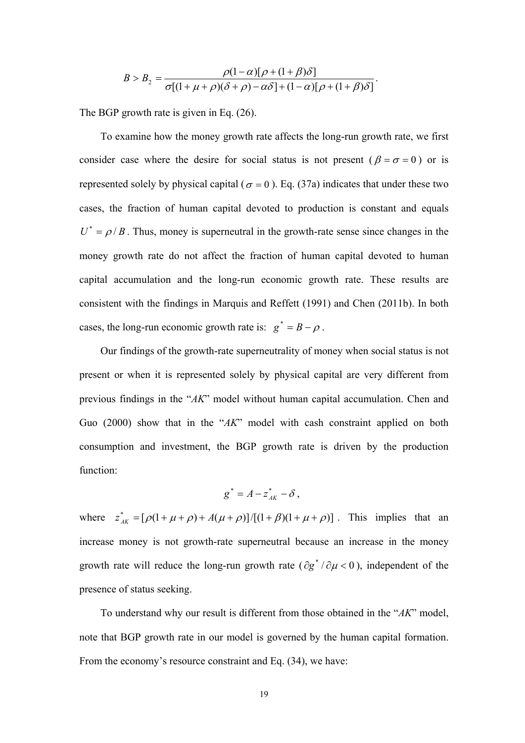$$
B > B_2 = \frac{\rho(1-\alpha)[\rho + (1+\beta)\delta]}{\sigma[(1+\mu+\rho)(\delta+\rho)-\alpha\delta] + (1-\alpha)[\rho + (1+\beta)\delta]}.
$$

The BGP growth rate is given in Eq. (26).

To examine how the money growth rate affects the long-run growth rate, we first consider case where the desire for social status is not present ( $\beta = \sigma = 0$ ) or is represented solely by physical capital ( $\sigma = 0$ ). Eq. (37a) indicates that under these two cases, the fraction of human capital devoted to production is constant and equals  $U^* = \rho/B$ . Thus, money is superneutral in the growth-rate sense since changes in the money growth rate do not affect the fraction of human capital devoted to human capital accumulation and the long-run economic growth rate. These results are consistent with the findings in Marquis and Reffett (1991) and Chen (2011b). In both cases, the long-run economic growth rate is:  $g^* = B - \rho$ .

Our findings of the growth-rate superneutrality of money when social status is not present or when it is represented solely by physical capital are very different from previous findings in the "*AK*" model without human capital accumulation. Chen and Guo (2000) show that in the "*AK*" model with cash constraint applied on both consumption and investment, the BGP growth rate is driven by the production function:

$$
g^* = A - z_{AK}^* - \delta \ ,
$$

where  $z_{AK}^* = [\rho(1 + \mu + \rho) + A(\mu + \rho)]/[(1 + \beta)(1 + \mu + \rho)]$ . This implies that an increase money is not growth-rate superneutral because an increase in the money growth rate will reduce the long-run growth rate  $(\partial g^* / \partial \mu < 0)$ , independent of the presence of status seeking.

To understand why our result is different from those obtained in the "*AK*" model, note that BGP growth rate in our model is governed by the human capital formation. From the economy's resource constraint and Eq. (34), we have: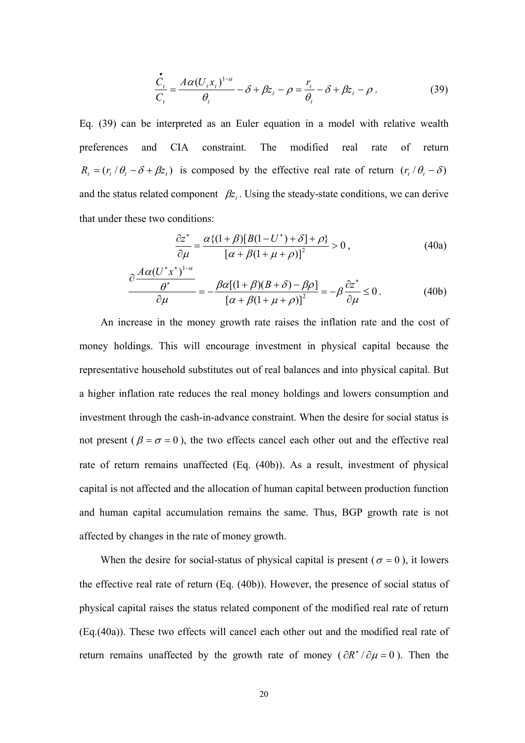$$
\frac{\dot{C}_t}{C_t} = \frac{A\alpha (U_t x_t)^{1-\alpha}}{\theta_t} - \delta + \beta z_t - \rho = \frac{r_t}{\theta_t} - \delta + \beta z_t - \rho.
$$
\n(39)

Eq. (39) can be interpreted as an Euler equation in a model with relative wealth preferences and CIA constraint. The modified real rate of return  $R_t = (r_t / \theta_t - \delta + \beta z_t)$  is composed by the effective real rate of return  $(r_t / \theta_t - \delta)$ and the status related component  $\beta z_i$ . Using the steady-state conditions, we can derive that under these two conditions:

$$
\frac{\partial z^*}{\partial \mu} = \frac{\alpha \{ (1+\beta) [B(1-U^*) + \delta] + \rho \}}{\left[ \alpha + \beta (1+\mu+\rho) \right]^2} > 0 ,\qquad (40a)
$$

$$
\frac{\partial \frac{A\alpha (U^*x^*)^{1-\alpha}}{\partial \mu}}{\partial \mu} = -\frac{\beta \alpha [(1+\beta)(B+\delta) - \beta \rho]}{\left[\alpha + \beta (1+\mu+\rho)\right]^2} = -\beta \frac{\partial z^*}{\partial \mu} \le 0. \tag{40b}
$$

An increase in the money growth rate raises the inflation rate and the cost of money holdings. This will encourage investment in physical capital because the representative household substitutes out of real balances and into physical capital. But a higher inflation rate reduces the real money holdings and lowers consumption and investment through the cash-in-advance constraint. When the desire for social status is not present ( $\beta = \sigma = 0$ ), the two effects cancel each other out and the effective real rate of return remains unaffected (Eq. (40b)). As a result, investment of physical capital is not affected and the allocation of human capital between production function and human capital accumulation remains the same. Thus, BGP growth rate is not affected by changes in the rate of money growth.

When the desire for social-status of physical capital is present ( $\sigma = 0$ ), it lowers the effective real rate of return (Eq. (40b)). However, the presence of social status of physical capital raises the status related component of the modified real rate of return (Eq.(40a)). These two effects will cancel each other out and the modified real rate of return remains unaffected by the growth rate of money ( $\partial R^* / \partial \mu = 0$ ). Then the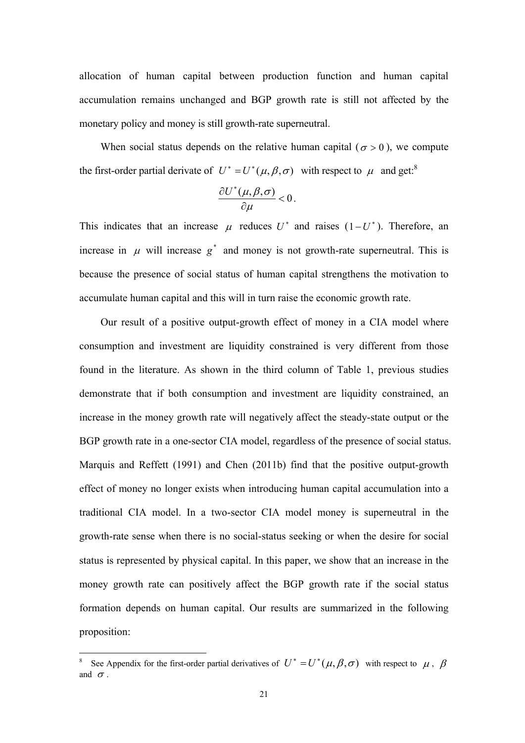allocation of human capital between production function and human capital accumulation remains unchanged and BGP growth rate is still not affected by the monetary policy and money is still growth-rate superneutral.

When social status depends on the relative human capital ( $\sigma > 0$ ), we compute the first-order partial derivate of  $U^* = U^*(\mu, \beta, \sigma)$  with respect to  $\mu$  and get.<sup>8</sup>

$$
\frac{\partial U^*(\mu,\beta,\sigma)}{\partial \mu}<0.
$$

This indicates that an increase  $\mu$  reduces  $U^*$  and raises  $(1-U^*)$ . Therefore, an increase in  $\mu$  will increase  $g^*$  and money is not growth-rate superneutral. This is because the presence of social status of human capital strengthens the motivation to accumulate human capital and this will in turn raise the economic growth rate.

Our result of a positive output-growth effect of money in a CIA model where consumption and investment are liquidity constrained is very different from those found in the literature. As shown in the third column of Table 1, previous studies demonstrate that if both consumption and investment are liquidity constrained, an increase in the money growth rate will negatively affect the steady-state output or the BGP growth rate in a one-sector CIA model, regardless of the presence of social status. Marquis and Reffett (1991) and Chen (2011b) find that the positive output-growth effect of money no longer exists when introducing human capital accumulation into a traditional CIA model. In a two-sector CIA model money is superneutral in the growth-rate sense when there is no social-status seeking or when the desire for social status is represented by physical capital. In this paper, we show that an increase in the money growth rate can positively affect the BGP growth rate if the social status formation depends on human capital. Our results are summarized in the following proposition:

<u>.</u>

<sup>8</sup> See Appendix for the first-order partial derivatives of  $U^* = U^*(\mu, \beta, \sigma)$  with respect to  $\mu$ ,  $\beta$ and  $\sigma$ .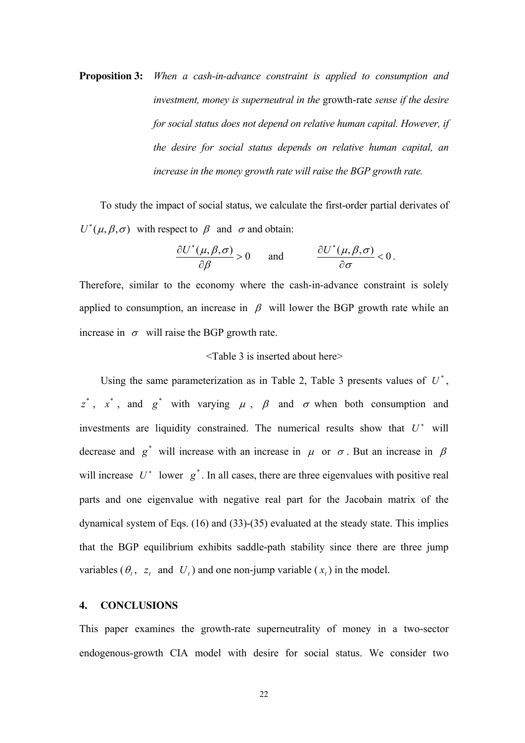**Proposition 3:** *When a cash-in-advance constraint is applied to consumption and investment, money is superneutral in the* growth-rate *sense if the desire for social status does not depend on relative human capital. However, if the desire for social status depends on relative human capital, an increase in the money growth rate will raise the BGP growth rate.* 

To study the impact of social status, we calculate the first-order partial derivates of  $U^*(\mu,\beta,\sigma)$  with respect to  $\beta$  and  $\sigma$  and obtain:

$$
\frac{\partial U^*(\mu,\beta,\sigma)}{\partial \beta} > 0 \quad \text{and} \quad \frac{\partial U^*(\mu,\beta,\sigma)}{\partial \sigma} < 0 \, .
$$

Therefore, similar to the economy where the cash-in-advance constraint is solely applied to consumption, an increase in  $\beta$  will lower the BGP growth rate while an increase in  $\sigma$  will raise the BGP growth rate.

#### <Table 3 is inserted about here>

Using the same parameterization as in Table 2, Table 3 presents values of  $U^*$ ,  $z^*$ ,  $x^*$ , and  $g^*$  with varying  $\mu$ ,  $\beta$  and  $\sigma$  when both consumption and investments are liquidity constrained. The numerical results show that  $U^*$  will decrease and  $g^*$  will increase with an increase in  $\mu$  or  $\sigma$ . But an increase in  $\beta$ will increase  $U^*$  lower  $g^*$ . In all cases, there are three eigenvalues with positive real parts and one eigenvalue with negative real part for the Jacobain matrix of the dynamical system of Eqs. (16) and (33)-(35) evaluated at the steady state. This implies that the BGP equilibrium exhibits saddle-path stability since there are three jump variables  $(\theta_t, z_t$  and  $U_t$ ) and one non-jump variable  $(x_t)$  in the model.

#### **4. CONCLUSIONS**

This paper examines the growth-rate superneutrality of money in a two-sector endogenous-growth CIA model with desire for social status. We consider two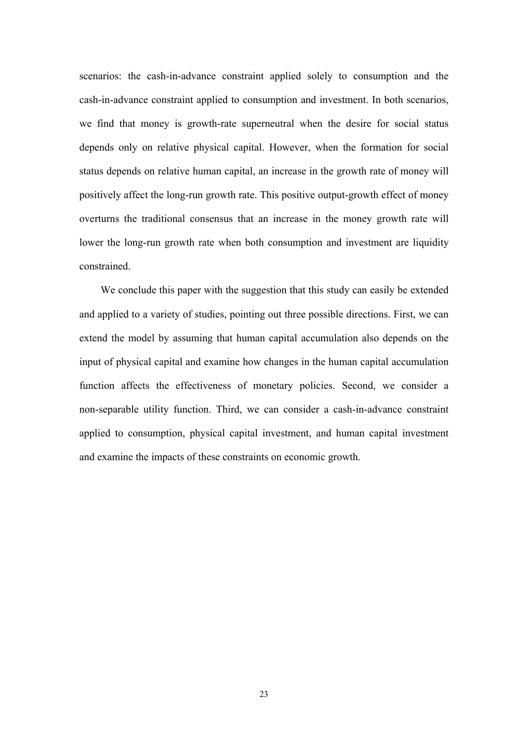scenarios: the cash-in-advance constraint applied solely to consumption and the cash-in-advance constraint applied to consumption and investment. In both scenarios, we find that money is growth-rate superneutral when the desire for social status depends only on relative physical capital. However, when the formation for social status depends on relative human capital, an increase in the growth rate of money will positively affect the long-run growth rate. This positive output-growth effect of money overturns the traditional consensus that an increase in the money growth rate will lower the long-run growth rate when both consumption and investment are liquidity constrained.

We conclude this paper with the suggestion that this study can easily be extended and applied to a variety of studies, pointing out three possible directions. First, we can extend the model by assuming that human capital accumulation also depends on the input of physical capital and examine how changes in the human capital accumulation function affects the effectiveness of monetary policies. Second, we consider a non-separable utility function. Third, we can consider a cash-in-advance constraint applied to consumption, physical capital investment, and human capital investment and examine the impacts of these constraints on economic growth.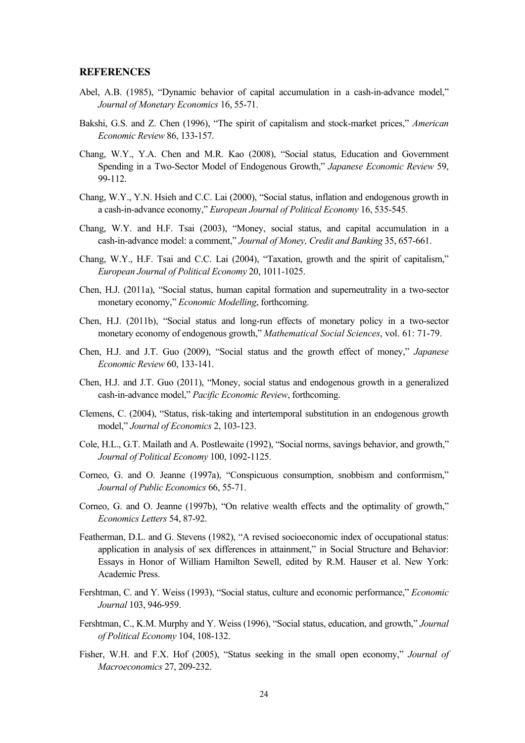#### **REFERENCES**

- Abel, A.B. (1985), "Dynamic behavior of capital accumulation in a cash-in-advance model," *Journal of Monetary Economics* 16, 55-71.
- Bakshi, G.S. and Z. Chen (1996), "The spirit of capitalism and stock-market prices," *American Economic Review* 86, 133-157.
- Chang, W.Y., Y.A. Chen and M.R. Kao (2008), "Social status, Education and Government Spending in a Two-Sector Model of Endogenous Growth," *Japanese Economic Review* 59, 99-112.
- Chang, W.Y., Y.N. Hsieh and C.C. Lai (2000), "Social status, inflation and endogenous growth in a cash-in-advance economy," *European Journal of Political Economy* 16, 535-545.
- Chang, W.Y. and H.F. Tsai (2003), "Money, social status, and capital accumulation in a cash-in-advance model: a comment," *Journal of Money, Credit and Banking* 35, 657-661.
- Chang, W.Y., H.F. Tsai and C.C. Lai (2004), "Taxation, growth and the spirit of capitalism," *European Journal of Political Economy* 20, 1011-1025.
- Chen, H.J. (2011a), "Social status, human capital formation and superneutrality in a two-sector monetary economy," *Economic Modelling*, forthcoming.
- Chen, H.J. (2011b), "Social status and long-run effects of monetary policy in a two-sector monetary economy of endogenous growth," *Mathematical Social Sciences*, vol. 61: 71-79.
- Chen, H.J. and J.T. Guo (2009), "Social status and the growth effect of money," *Japanese Economic Review* 60, 133-141.
- Chen, H.J. and J.T. Guo (2011), "Money, social status and endogenous growth in a generalized cash-in-advance model," *Pacific Economic Review*, forthcoming.
- Clemens, C. (2004), "Status, risk-taking and intertemporal substitution in an endogenous growth model," *Journal of Economics* 2, 103-123.
- Cole, H.L., G.T. Mailath and A. Postlewaite (1992), "Social norms, savings behavior, and growth," *Journal of Political Economy* 100, 1092-1125.
- Corneo, G. and O. Jeanne (1997a), "Conspicuous consumption, snobbism and conformism," *Journal of Public Economics* 66, 55-71.
- Corneo, G. and O. Jeanne (1997b), "On relative wealth effects and the optimality of growth," *Economics Letters* 54, 87-92.
- Featherman, D.L. and G. Stevens (1982), "A revised socioeconomic index of occupational status: application in analysis of sex differences in attainment," in Social Structure and Behavior: Essays in Honor of William Hamilton Sewell, edited by R.M. Hauser et al. New York: Academic Press.
- Fershtman, C. and Y. Weiss (1993), "Social status, culture and economic performance," *Economic Journal* 103, 946-959.
- Fershtman, C., K.M. Murphy and Y. Weiss (1996), "Social status, education, and growth," *Journal of Political Economy* 104, 108-132.
- Fisher, W.H. and F.X. Hof (2005), "Status seeking in the small open economy," *Journal of Macroeconomics* 27, 209-232.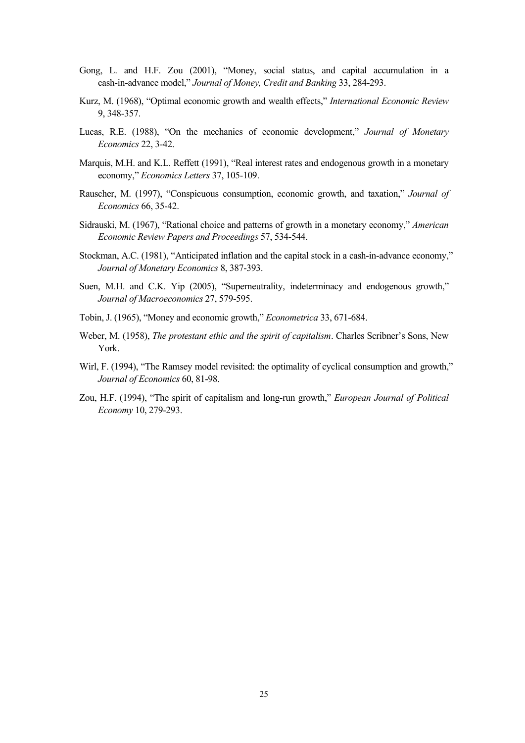- Gong, L. and H.F. Zou (2001), "Money, social status, and capital accumulation in a cash-in-advance model," *Journal of Money, Credit and Banking* 33, 284-293.
- Kurz, M. (1968), "Optimal economic growth and wealth effects," *International Economic Review*  9, 348-357.
- Lucas, R.E. (1988), "On the mechanics of economic development," *Journal of Monetary Economics* 22, 3-42.
- Marquis, M.H. and K.L. Reffett (1991), "Real interest rates and endogenous growth in a monetary economy," *Economics Letters* 37, 105-109.
- Rauscher, M. (1997), "Conspicuous consumption, economic growth, and taxation," *Journal of Economics* 66, 35-42.
- Sidrauski, M. (1967), "Rational choice and patterns of growth in a monetary economy," *American Economic Review Papers and Proceedings* 57, 534-544.
- Stockman, A.C. (1981), "Anticipated inflation and the capital stock in a cash-in-advance economy," *Journal of Monetary Economics* 8, 387-393.
- Suen, M.H. and C.K. Yip (2005), "Superneutrality, indeterminacy and endogenous growth," *Journal of Macroeconomics* 27, 579-595.
- Tobin, J. (1965), "Money and economic growth," *Econometrica* 33, 671-684.
- Weber, M. (1958), *The protestant ethic and the spirit of capitalism*. Charles Scribner's Sons, New York.
- Wirl, F. (1994), "The Ramsey model revisited: the optimality of cyclical consumption and growth," *Journal of Economics* 60, 81-98.
- Zou, H.F. (1994), "The spirit of capitalism and long-run growth," *European Journal of Political Economy* 10, 279-293.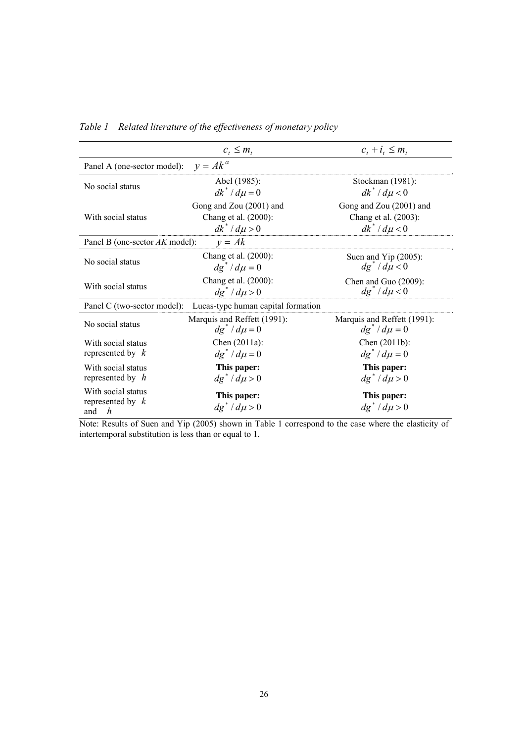|                                                                   | $c_{i} \leq m_{i}$                                                   | $c_i + i_j \leq m_i$                                                 |  |  |  |  |  |
|-------------------------------------------------------------------|----------------------------------------------------------------------|----------------------------------------------------------------------|--|--|--|--|--|
| Panel A (one-sector model):                                       | $v = Ak^{\alpha}$                                                    |                                                                      |  |  |  |  |  |
| No social status                                                  | Abel (1985):<br>$dk^* / d\mu = 0$                                    | Stockman (1981):<br>$dk^* / d\mu < 0$                                |  |  |  |  |  |
| With social status                                                | Gong and Zou (2001) and<br>Chang et al. (2000):<br>$dk^* / d\mu > 0$ | Gong and Zou (2001) and<br>Chang et al. (2003):<br>$dk^* / d\mu < 0$ |  |  |  |  |  |
| $y = Ak$<br>Panel B (one-sector AK model):                        |                                                                      |                                                                      |  |  |  |  |  |
| No social status                                                  | Chang et al. (2000):<br>$dg^*/d\mu=0$                                | Suen and Yip (2005):<br>$dg^* / d\mu < 0$                            |  |  |  |  |  |
| With social status                                                | Chang et al. (2000):<br>$dg^*/d\mu$ > 0                              | Chen and Guo $(2009)$ :<br>$dg^* / d\mu < 0$                         |  |  |  |  |  |
| Panel C (two-sector model):<br>Lucas-type human capital formation |                                                                      |                                                                      |  |  |  |  |  |
| No social status                                                  | Marquis and Reffett (1991):<br>$dg^* / d\mu = 0$                     | Marquis and Reffett (1991):<br>$dg^*/d\mu=0$                         |  |  |  |  |  |
| With social status<br>represented by $k$                          | Chen $(2011a)$ :<br>$dg^*/d\mu=0$                                    | Chen $(2011b)$ :<br>$dg^*/d\mu=0$                                    |  |  |  |  |  |
| With social status<br>represented by $h$                          | This paper:<br>$dg^* / d\mu > 0$                                     | This paper:<br>$dg^* / d\mu > 0$                                     |  |  |  |  |  |
| With social status<br>represented by $k$<br>h<br>and              | This paper:<br>$dg^*/d\mu$ > 0                                       | This paper:<br>$dg^*/d\mu$ > 0                                       |  |  |  |  |  |

*Table 1 Related literature of the effectiveness of monetary policy* 

Note: Results of Suen and Yip (2005) shown in Table 1 correspond to the case where the elasticity of intertemporal substitution is less than or equal to 1.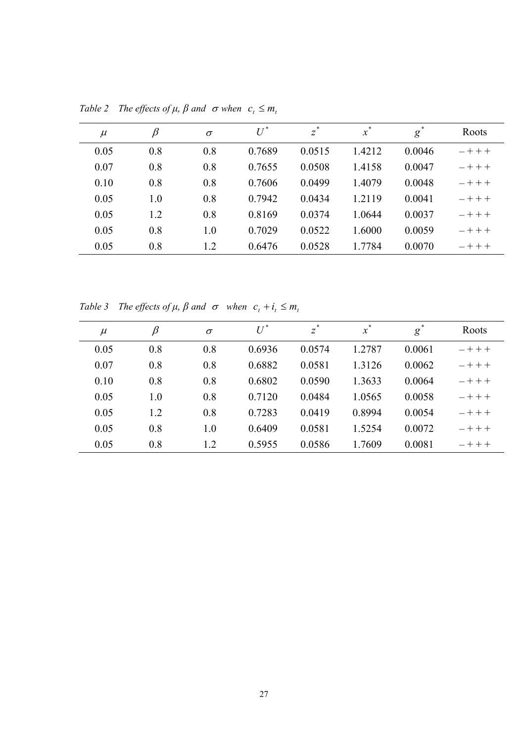| $\mu$ | $\beta$ | $\sigma$ | $U^*$  | $z^*$  | $x^*$  | g      | Roots     |
|-------|---------|----------|--------|--------|--------|--------|-----------|
| 0.05  | 0.8     | 0.8      | 0.7689 | 0.0515 | 1.4212 | 0.0046 | $- + + +$ |
| 0.07  | 0.8     | 0.8      | 0.7655 | 0.0508 | 1.4158 | 0.0047 | $- + + +$ |
| 0.10  | 0.8     | 0.8      | 0.7606 | 0.0499 | 1.4079 | 0.0048 | $- + + +$ |
| 0.05  | 1.0     | 0.8      | 0.7942 | 0.0434 | 1.2119 | 0.0041 | $- + + +$ |
| 0.05  | 1.2     | 0.8      | 0.8169 | 0.0374 | 1.0644 | 0.0037 | $- + + +$ |
| 0.05  | 0.8     | 1.0      | 0.7029 | 0.0522 | 1.6000 | 0.0059 | $- + + +$ |
| 0.05  | 0.8     | 1.2      | 0.6476 | 0.0528 | 1.7784 | 0.0070 | $- + + +$ |

*Table 2 The effects of*  $\mu$ *,*  $\beta$  *and*  $\sigma$  *when*  $c_t \leq m_t$ 

*Table 3 The effects of*  $\mu$ *,*  $\beta$  *<i>and*  $\sigma$  *when*  $c_t + i_t \leq m_t$ 

| $\mu$ | $\beta$ | $\sigma$ | $U^*$  | $z^*$  | $\boldsymbol{x}$ | $g^*$  | Roots     |
|-------|---------|----------|--------|--------|------------------|--------|-----------|
| 0.05  | 0.8     | 0.8      | 0.6936 | 0.0574 | 1.2787           | 0.0061 | $- + + +$ |
| 0.07  | 0.8     | 0.8      | 0.6882 | 0.0581 | 1.3126           | 0.0062 | $- + + +$ |
| 0.10  | 0.8     | 0.8      | 0.6802 | 0.0590 | 1.3633           | 0.0064 | $- + + +$ |
| 0.05  | 1.0     | 0.8      | 0.7120 | 0.0484 | 1.0565           | 0.0058 | $- + + +$ |
| 0.05  | 1.2     | 0.8      | 0.7283 | 0.0419 | 0.8994           | 0.0054 | $- + + +$ |
| 0.05  | 0.8     | 1.0      | 0.6409 | 0.0581 | 1.5254           | 0.0072 | $- + + +$ |
| 0.05  | 0.8     | 1.2      | 0.5955 | 0.0586 | 1.7609           | 0.0081 | $- + + +$ |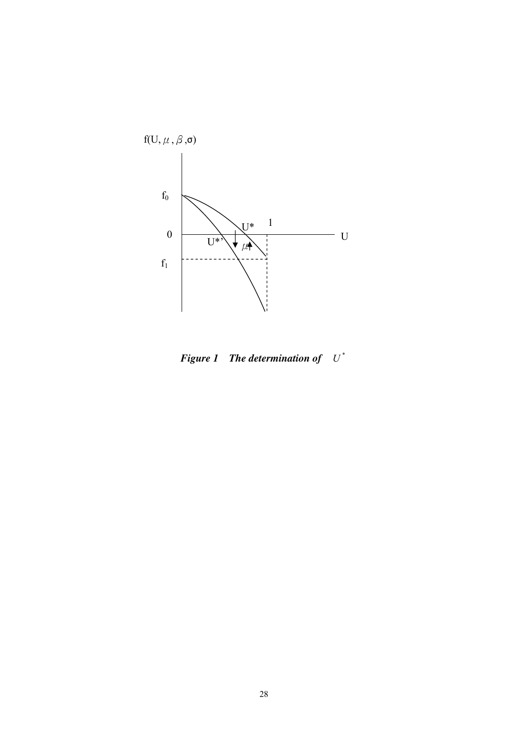

*Figure 1* The determination of  $U^*$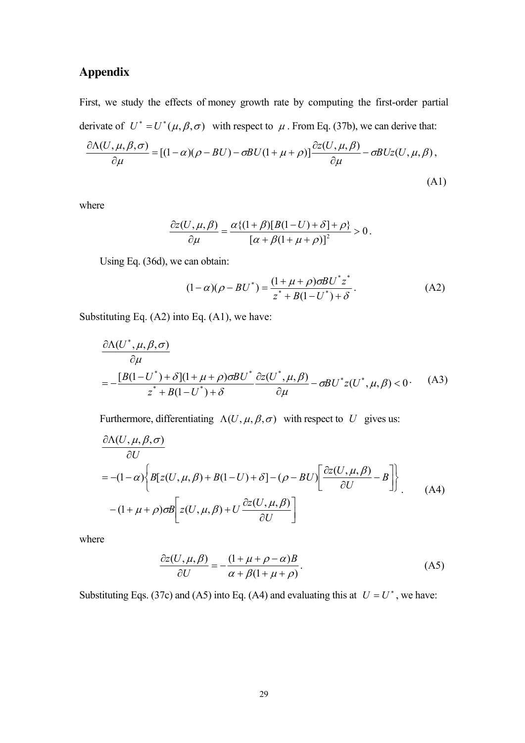### **Appendix**

First, we study the effects of money growth rate by computing the first-order partial derivate of  $U^* = U^*(\mu, \beta, \sigma)$  with respect to  $\mu$ . From Eq. (37b), we can derive that:

$$
\frac{\partial \Lambda(U, \mu, \beta, \sigma)}{\partial \mu} = [(1 - \alpha)(\rho - BU) - \sigma BU(1 + \mu + \rho)] \frac{\partial z(U, \mu, \beta)}{\partial \mu} - \sigma BUz(U, \mu, \beta),
$$
\n(A1)

where

$$
\frac{\partial z(U,\mu,\beta)}{\partial \mu} = \frac{\alpha\{(1+\beta)[B(1-U)+\delta]+\rho\}}{[\alpha+\beta(1+\mu+\rho)]^2} > 0.
$$

Using Eq. (36d), we can obtain:

$$
(1 - \alpha)(\rho - BU^*) = \frac{(1 + \mu + \rho)\sigma B U^* z^*}{z^* + B(1 - U^*) + \delta}.
$$
 (A2)

Substituting Eq. (A2) into Eq. (A1), we have:

$$
\frac{\partial \Lambda(U^*, \mu, \beta, \sigma)}{\partial \mu} = -\frac{[B(1-U^*) + \delta](1 + \mu + \rho)\sigma B U^*}{z^* + B(1-U^*) + \delta} \frac{\partial z(U^*, \mu, \beta)}{\partial \mu} - \sigma B U^* z(U^*, \mu, \beta) < 0. \tag{A3}
$$

Furthermore, differentiating  $\Lambda(U, \mu, \beta, \sigma)$  with respect to *U* gives us:

$$
\frac{\partial \Lambda(U, \mu, \beta, \sigma)}{\partial U}
$$
\n
$$
= -(1 - \alpha) \left\{ B[z(U, \mu, \beta) + B(1 - U) + \delta] - (\rho - BU) \left[ \frac{\partial z(U, \mu, \beta)}{\partial U} - B \right] \right\}.
$$
\n(A4)\n
$$
- (1 + \mu + \rho) \sigma B \left[ z(U, \mu, \beta) + U \frac{\partial z(U, \mu, \beta)}{\partial U} \right]
$$

where

$$
\frac{\partial z(U,\mu,\beta)}{\partial U} = -\frac{(1+\mu+\rho-\alpha)B}{\alpha+\beta(1+\mu+\rho)}.\tag{A5}
$$

Substituting Eqs. (37c) and (A5) into Eq. (A4) and evaluating this at  $U = U^*$ , we have: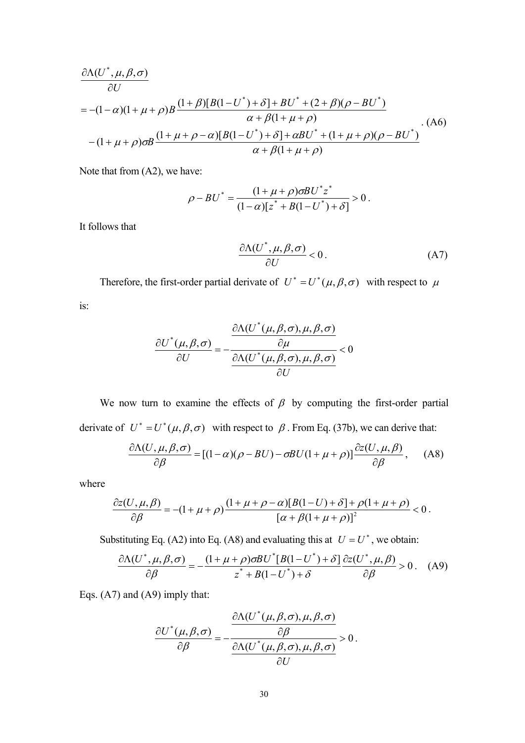$$
\frac{\partial \Lambda(U^*, \mu, \beta, \sigma)}{\partial U} = -(1 - \alpha)(1 + \mu + \rho)B \frac{(1 + \beta)[B(1 - U^*) + \delta] + BU^* + (2 + \beta)(\rho - BU^*)}{\alpha + \beta(1 + \mu + \rho)} \tag{A6}
$$
\n
$$
-(1 + \mu + \rho)\sigma B \frac{(1 + \mu + \rho - \alpha)[B(1 - U^*) + \delta] + \alpha BU^* + (1 + \mu + \rho)(\rho - BU^*)}{\alpha + \beta(1 + \mu + \rho)} \tag{A7}
$$

Note that from (A2), we have:

$$
\rho - BU^* = \frac{(1 + \mu + \rho)\sigma B U^* z^*}{(1 - \alpha)[z^* + B(1 - U^*) + \delta]} > 0.
$$

It follows that

$$
\frac{\partial \Lambda(U^*, \mu, \beta, \sigma)}{\partial U} < 0. \tag{A7}
$$

Therefore, the first-order partial derivate of  $U^* = U^*(\mu, \beta, \sigma)$  with respect to  $\mu$ 

is:

$$
\frac{\partial U^*(\mu,\beta,\sigma)}{\partial U} = -\frac{\frac{\partial \Lambda(U^*(\mu,\beta,\sigma),\mu,\beta,\sigma)}{\partial \mu}}{\frac{\partial \Lambda(U^*(\mu,\beta,\sigma),\mu,\beta,\sigma)}{\partial U}} < 0
$$

We now turn to examine the effects of  $\beta$  by computing the first-order partial derivate of  $U^* = U^*(\mu, \beta, \sigma)$  with respect to  $\beta$ . From Eq. (37b), we can derive that:

$$
\frac{\partial \Lambda(U,\mu,\beta,\sigma)}{\partial \beta} = [(1-\alpha)(\rho - BU) - \sigma BU(1+\mu+\rho)]\frac{\partial z(U,\mu,\beta)}{\partial \beta}, \quad (A8)
$$

where

$$
\frac{\partial z(U, \mu, \beta)}{\partial \beta} = -(1 + \mu + \rho) \frac{(1 + \mu + \rho - \alpha)[B(1 - U) + \delta] + \rho(1 + \mu + \rho)}{[\alpha + \beta(1 + \mu + \rho)]^2} < 0.
$$

Substituting Eq. (A2) into Eq. (A8) and evaluating this at  $U = U^*$ , we obtain:

$$
\frac{\partial \Lambda(U^*, \mu, \beta, \sigma)}{\partial \beta} = -\frac{(1 + \mu + \rho)\sigma B U^* [B(1 - U^*) + \delta]}{z^* + B(1 - U^*) + \delta} \frac{\partial z(U^*, \mu, \beta)}{\partial \beta} > 0. \quad (A9)
$$

Eqs. (A7) and (A9) imply that:

$$
\frac{\partial U^*(\mu,\beta,\sigma)}{\partial \beta} = -\frac{\frac{\partial \Lambda(U^*(\mu,\beta,\sigma),\mu,\beta,\sigma)}{\partial \beta}}{\frac{\partial \Lambda(U^*(\mu,\beta,\sigma),\mu,\beta,\sigma)}{\partial U}} > 0.
$$